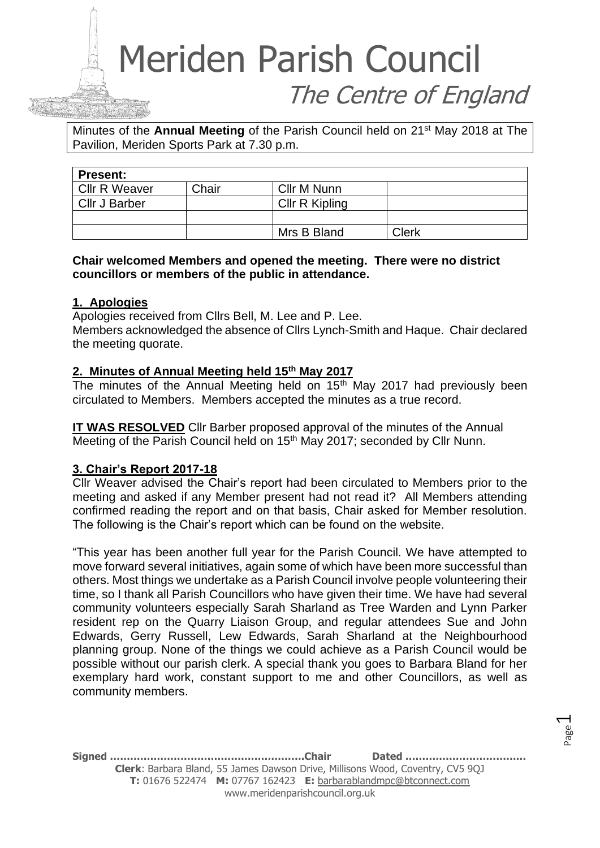Minutes of the **Annual Meeting** of the Parish Council held on 21st May 2018 at The Pavilion, Meriden Sports Park at 7.30 p.m.

| <b>Present:</b>      |       |                |              |  |  |
|----------------------|-------|----------------|--------------|--|--|
| <b>Cllr R Weaver</b> | Chair | Cllr M Nunn    |              |  |  |
| Cllr J Barber        |       | Cllr R Kipling |              |  |  |
|                      |       |                |              |  |  |
|                      |       | Mrs B Bland    | <b>Clerk</b> |  |  |

#### **Chair welcomed Members and opened the meeting. There were no district councillors or members of the public in attendance.**

#### **1. Apologies**

Apologies received from Cllrs Bell, M. Lee and P. Lee.

Members acknowledged the absence of Cllrs Lynch-Smith and Haque. Chair declared the meeting quorate.

#### **2. Minutes of Annual Meeting held 15th May 2017**

The minutes of the Annual Meeting held on  $15<sup>th</sup>$  May 2017 had previously been circulated to Members. Members accepted the minutes as a true record.

**IT WAS RESOLVED** Cllr Barber proposed approval of the minutes of the Annual Meeting of the Parish Council held on 15<sup>th</sup> May 2017; seconded by Cllr Nunn.

#### **3. Chair's Report 2017-18**

Cllr Weaver advised the Chair's report had been circulated to Members prior to the meeting and asked if any Member present had not read it? All Members attending confirmed reading the report and on that basis, Chair asked for Member resolution. The following is the Chair's report which can be found on the website.

"This year has been another full year for the Parish Council. We have attempted to move forward several initiatives, again some of which have been more successful than others. Most things we undertake as a Parish Council involve people volunteering their time, so I thank all Parish Councillors who have given their time. We have had several community volunteers especially Sarah Sharland as Tree Warden and Lynn Parker resident rep on the Quarry Liaison Group, and regular attendees Sue and John Edwards, Gerry Russell, Lew Edwards, Sarah Sharland at the Neighbourhood planning group. None of the things we could achieve as a Parish Council would be possible without our parish clerk. A special thank you goes to Barbara Bland for her exemplary hard work, constant support to me and other Councillors, as well as community members.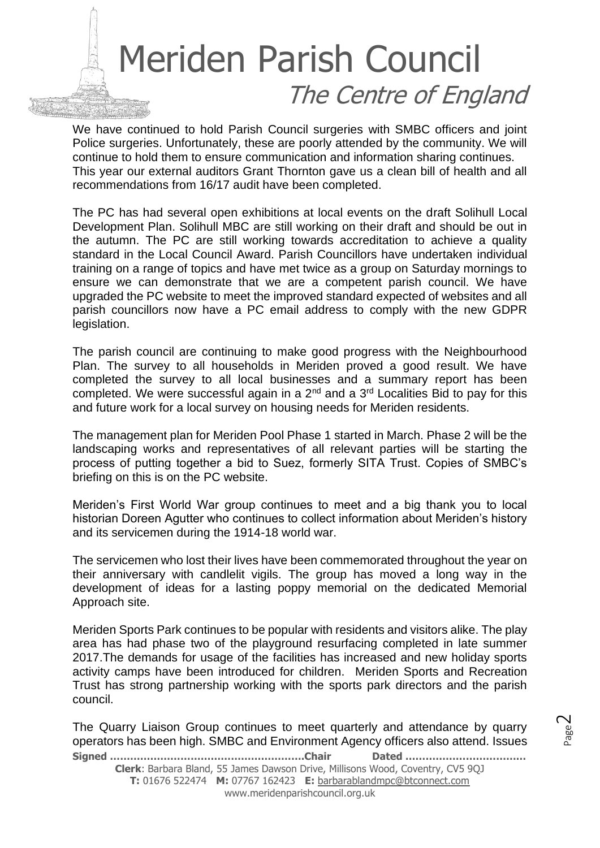We have continued to hold Parish Council surgeries with SMBC officers and joint Police surgeries. Unfortunately, these are poorly attended by the community. We will continue to hold them to ensure communication and information sharing continues. This year our external auditors Grant Thornton gave us a clean bill of health and all recommendations from 16/17 audit have been completed.

The PC has had several open exhibitions at local events on the draft Solihull Local Development Plan. Solihull MBC are still working on their draft and should be out in the autumn. The PC are still working towards accreditation to achieve a quality standard in the Local Council Award. Parish Councillors have undertaken individual training on a range of topics and have met twice as a group on Saturday mornings to ensure we can demonstrate that we are a competent parish council. We have upgraded the PC website to meet the improved standard expected of websites and all parish councillors now have a PC email address to comply with the new GDPR legislation.

The parish council are continuing to make good progress with the Neighbourhood Plan. The survey to all households in Meriden proved a good result. We have completed the survey to all local businesses and a summary report has been completed. We were successful again in a 2<sup>nd</sup> and a 3<sup>rd</sup> Localities Bid to pay for this and future work for a local survey on housing needs for Meriden residents.

The management plan for Meriden Pool Phase 1 started in March. Phase 2 will be the landscaping works and representatives of all relevant parties will be starting the process of putting together a bid to Suez, formerly SITA Trust. Copies of SMBC's briefing on this is on the PC website.

Meriden's First World War group continues to meet and a big thank you to local historian Doreen Agutter who continues to collect information about Meriden's history and its servicemen during the 1914-18 world war.

The servicemen who lost their lives have been commemorated throughout the year on their anniversary with candlelit vigils. The group has moved a long way in the development of ideas for a lasting poppy memorial on the dedicated Memorial Approach site.

Meriden Sports Park continues to be popular with residents and visitors alike. The play area has had phase two of the playground resurfacing completed in late summer 2017.The demands for usage of the facilities has increased and new holiday sports activity camps have been introduced for children. Meriden Sports and Recreation Trust has strong partnership working with the sports park directors and the parish council.

The Quarry Liaison Group continues to meet quarterly and attendance by quarry operators has been high. SMBC and Environment Agency officers also attend. Issues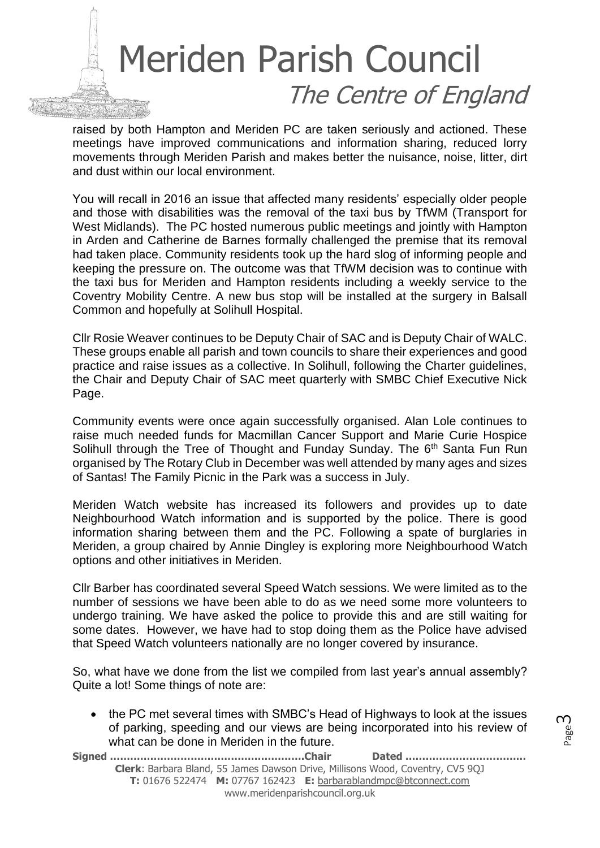raised by both Hampton and Meriden PC are taken seriously and actioned. These meetings have improved communications and information sharing, reduced lorry movements through Meriden Parish and makes better the nuisance, noise, litter, dirt and dust within our local environment.

You will recall in 2016 an issue that affected many residents' especially older people and those with disabilities was the removal of the taxi bus by TfWM (Transport for West Midlands). The PC hosted numerous public meetings and jointly with Hampton in Arden and Catherine de Barnes formally challenged the premise that its removal had taken place. Community residents took up the hard slog of informing people and keeping the pressure on. The outcome was that TfWM decision was to continue with the taxi bus for Meriden and Hampton residents including a weekly service to the Coventry Mobility Centre. A new bus stop will be installed at the surgery in Balsall Common and hopefully at Solihull Hospital.

Cllr Rosie Weaver continues to be Deputy Chair of SAC and is Deputy Chair of WALC. These groups enable all parish and town councils to share their experiences and good practice and raise issues as a collective. In Solihull, following the Charter guidelines, the Chair and Deputy Chair of SAC meet quarterly with SMBC Chief Executive Nick Page.

Community events were once again successfully organised. Alan Lole continues to raise much needed funds for Macmillan Cancer Support and Marie Curie Hospice Solihull through the Tree of Thought and Funday Sunday. The 6<sup>th</sup> Santa Fun Run organised by The Rotary Club in December was well attended by many ages and sizes of Santas! The Family Picnic in the Park was a success in July.

Meriden Watch website has increased its followers and provides up to date Neighbourhood Watch information and is supported by the police. There is good information sharing between them and the PC. Following a spate of burglaries in Meriden, a group chaired by Annie Dingley is exploring more Neighbourhood Watch options and other initiatives in Meriden.

Cllr Barber has coordinated several Speed Watch sessions. We were limited as to the number of sessions we have been able to do as we need some more volunteers to undergo training. We have asked the police to provide this and are still waiting for some dates. However, we have had to stop doing them as the Police have advised that Speed Watch volunteers nationally are no longer covered by insurance.

So, what have we done from the list we compiled from last year's annual assembly? Quite a lot! Some things of note are:

• the PC met several times with SMBC's Head of Highways to look at the issues of parking, speeding and our views are being incorporated into his review of what can be done in Meriden in the future.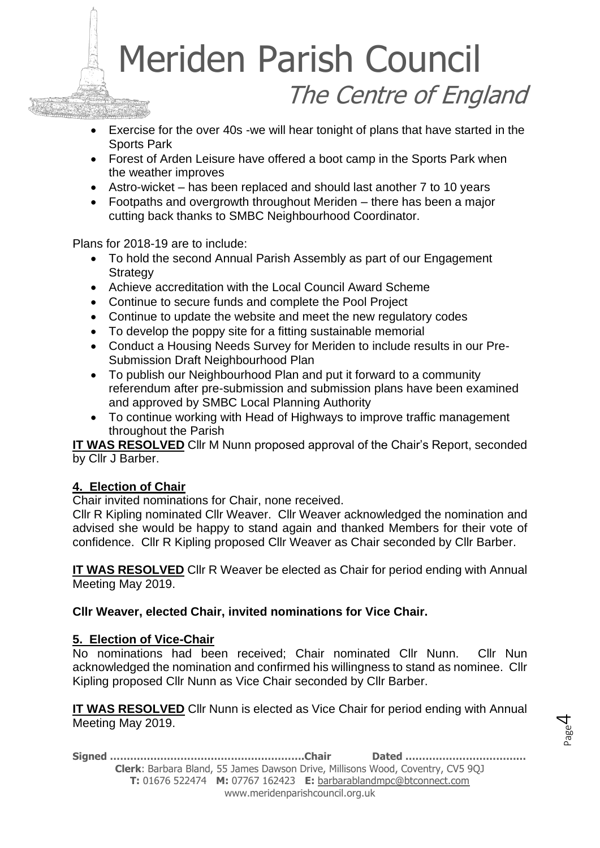- Exercise for the over 40s -we will hear tonight of plans that have started in the Sports Park
- Forest of Arden Leisure have offered a boot camp in the Sports Park when the weather improves
- Astro-wicket has been replaced and should last another 7 to 10 years
- Footpaths and overgrowth throughout Meriden there has been a major cutting back thanks to SMBC Neighbourhood Coordinator.

Plans for 2018-19 are to include:

- To hold the second Annual Parish Assembly as part of our Engagement **Strategy**
- Achieve accreditation with the Local Council Award Scheme
- Continue to secure funds and complete the Pool Project
- Continue to update the website and meet the new regulatory codes
- To develop the poppy site for a fitting sustainable memorial
- Conduct a Housing Needs Survey for Meriden to include results in our Pre-Submission Draft Neighbourhood Plan
- To publish our Neighbourhood Plan and put it forward to a community referendum after pre-submission and submission plans have been examined and approved by SMBC Local Planning Authority
- To continue working with Head of Highways to improve traffic management throughout the Parish

**IT WAS RESOLVED** Cllr M Nunn proposed approval of the Chair's Report, seconded by Cllr J Barber.

#### **4. Election of Chair**

Chair invited nominations for Chair, none received.

Cllr R Kipling nominated Cllr Weaver. Cllr Weaver acknowledged the nomination and advised she would be happy to stand again and thanked Members for their vote of confidence. Cllr R Kipling proposed Cllr Weaver as Chair seconded by Cllr Barber.

**IT WAS RESOLVED** Cllr R Weaver be elected as Chair for period ending with Annual Meeting May 2019.

**Cllr Weaver, elected Chair, invited nominations for Vice Chair.**

#### **5. Election of Vice-Chair**

No nominations had been received; Chair nominated Cllr Nunn. Cllr Nun acknowledged the nomination and confirmed his willingness to stand as nominee. Cllr Kipling proposed Cllr Nunn as Vice Chair seconded by Cllr Barber.

**IT WAS RESOLVED** Cllr Nunn is elected as Vice Chair for period ending with Annual Meeting May 2019.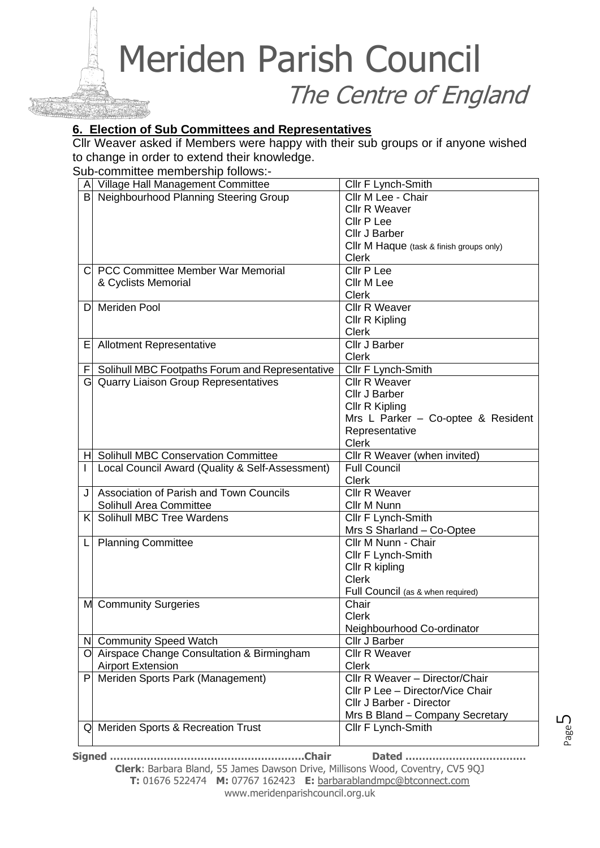#### **6. Election of Sub Committees and Representatives**

Cllr Weaver asked if Members were happy with their sub groups or if anyone wished to change in order to extend their knowledge.

Sub-committee membership follows:-

|     | Village Hall Management Committee               | Cllr F Lynch-Smith                       |
|-----|-------------------------------------------------|------------------------------------------|
| B   | Neighbourhood Planning Steering Group           | Cllr M Lee - Chair                       |
|     |                                                 | Cllr R Weaver                            |
|     |                                                 | Cllr P Lee                               |
|     |                                                 | Cllr J Barber                            |
|     |                                                 | CIIr M Haque (task & finish groups only) |
|     |                                                 | <b>Clerk</b>                             |
| CI. | <b>PCC Committee Member War Memorial</b>        | Cllr P Lee                               |
|     | & Cyclists Memorial                             | Cllr M Lee                               |
|     |                                                 | <b>Clerk</b>                             |
| D.  | Meriden Pool                                    | Cllr R Weaver                            |
|     |                                                 | Cllr R Kipling                           |
|     |                                                 | <b>Clerk</b>                             |
|     | E Allotment Representative                      | <b>Cllr J Barber</b>                     |
|     |                                                 | <b>Clerk</b>                             |
| F   | Solihull MBC Footpaths Forum and Representative | Cllr F Lynch-Smith                       |
|     | G Quarry Liaison Group Representatives          | Cllr R Weaver                            |
|     |                                                 | Cllr J Barber                            |
|     |                                                 | Cllr R Kipling                           |
|     |                                                 | Mrs L Parker - Co-optee & Resident       |
|     |                                                 | Representative                           |
|     |                                                 | <b>Clerk</b>                             |
| HL  | <b>Solihull MBC Conservation Committee</b>      | Cllr R Weaver (when invited)             |
|     | Local Council Award (Quality & Self-Assessment) | <b>Full Council</b>                      |
|     |                                                 | <b>Clerk</b>                             |
| J   | Association of Parish and Town Councils         | Cllr R Weaver                            |
|     | Solihull Area Committee                         | Cllr M Nunn                              |
| K   | Solihull MBC Tree Wardens                       | Cllr F Lynch-Smith                       |
|     |                                                 | Mrs S Sharland - Co-Optee                |
| L   | <b>Planning Committee</b>                       | Cllr M Nunn - Chair                      |
|     |                                                 | Cllr F Lynch-Smith                       |
|     |                                                 | Cllr R kipling                           |
|     |                                                 | <b>Clerk</b>                             |
|     |                                                 | Full Council (as & when required)        |
|     | M Community Surgeries                           | Chair                                    |
|     |                                                 | <b>Clerk</b>                             |
|     |                                                 | Neighbourhood Co-ordinator               |
|     | N Community Speed Watch                         | Cllr J Barber                            |
|     | O Airspace Change Consultation & Birmingham     | <b>Cllr R Weaver</b>                     |
|     | <b>Airport Extension</b>                        | <b>Clerk</b>                             |
| P   | Meriden Sports Park (Management)                | Cllr R Weaver - Director/Chair           |
|     |                                                 | Cllr P Lee - Director/Vice Chair         |
|     |                                                 | Cllr J Barber - Director                 |
|     |                                                 | Mrs B Bland - Company Secretary          |
|     | Q Meriden Sports & Recreation Trust             | Cllr F Lynch-Smith                       |

**Signed ………………………………………………….Chair Dated ……………………………… Clerk**: Barbara Bland, 55 James Dawson Drive, Millisons Wood, Coventry, CV5 9QJ **T:** 01676 522474 **M:** 07767 162423 **E:** [barbarablandmpc@btconnect.com](mailto:barbarablandmpc@btconnect.com) www.meridenparishcouncil.org.uk

Page பி